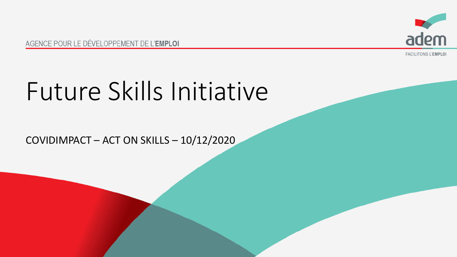

AGENCE POUR LE DÉVELOPPEMENT DE L'EMPLOI

**FACILITONS L'EMPLOI** 

# Future Skills Initiative

COVIDIMPACT – ACT ON SKILLS – 10/12/2020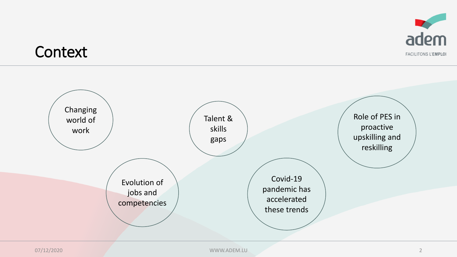

#### **Context**

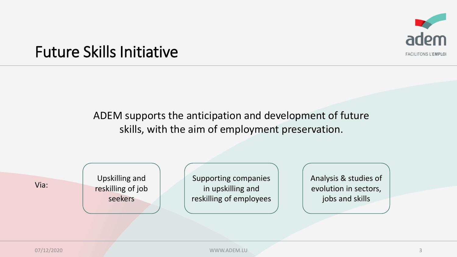

#### Future Skills Initiative

ADEM supports the anticipation and development of future skills, with the aim of employment preservation.

Via:

Upskilling and reskilling of job seekers

Supporting companies in upskilling and reskilling of employees Analysis & studies of evolution in sectors, jobs and skills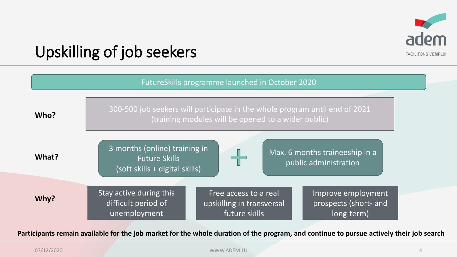

### Upskilling of job seekers

| FutureSkills programme launched in October 2020 |                                                                                                                                                                                                    |  |  |  |
|-------------------------------------------------|----------------------------------------------------------------------------------------------------------------------------------------------------------------------------------------------------|--|--|--|
| Who?                                            | 300-500 job seekers will participate in the whole program until end of 2021<br>(training modules will be opened to a wider public)                                                                 |  |  |  |
| What?                                           | 3 months (online) training in<br>Max. 6 months traineeship in a<br><b>Future Skills</b><br>public administration<br>(soft skills + digital skills)                                                 |  |  |  |
| Why?                                            | Stay active during this<br>Free access to a real<br>Improve employment<br>difficult period of<br>prospects (short- and<br>upskilling in transversal<br>unemployment<br>future skills<br>long-term) |  |  |  |

**Participants remain available for the job market for the whole duration of the program, and continue to pursue actively their job search**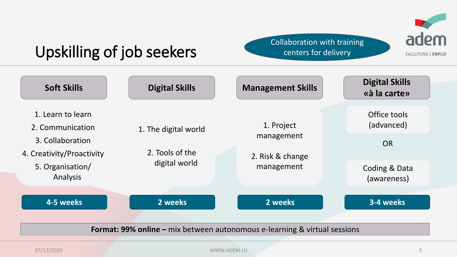

### Upskilling of job seekers

Collaboration with training centers for delivery

| <b>Soft Skills</b>                            | <b>Digital Skills</b>            | <b>Management Skills</b>                     | <b>Digital Skills</b><br>«à la carte» |
|-----------------------------------------------|----------------------------------|----------------------------------------------|---------------------------------------|
| 1. Learn to learn<br>2. Communication         | 1. The digital world             | 1. Project<br>management<br>2. Risk & change | Office tools<br>(advanced)            |
| 3. Collaboration<br>4. Creativity/Proactivity | 2. Tools of the<br>digital world |                                              | <b>OR</b>                             |
| 5. Organisation/<br>Analysis                  |                                  | management                                   | Coding & Data<br>(awareness)          |
| 4-5 weeks                                     | 2 weeks                          | 2 weeks                                      | 3-4 weeks                             |

**Format: 99% online –** mix between autonomous e-learning & virtual sessions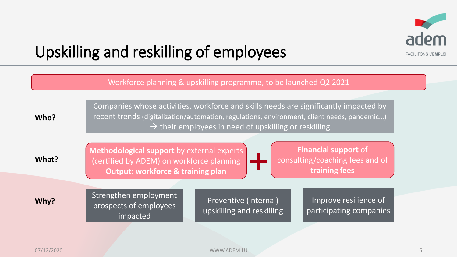

### Upskilling and reskilling of employees

| Workforce planning & upskilling programme, to be launched Q2 2021 |                                                                                                                                                                                                                                                          |  |  |  |
|-------------------------------------------------------------------|----------------------------------------------------------------------------------------------------------------------------------------------------------------------------------------------------------------------------------------------------------|--|--|--|
| Who?                                                              | Companies whose activities, workforce and skills needs are significantly impacted by<br>recent trends (digitalization/automation, regulations, environment, client needs, pandemic)<br>$\rightarrow$ their employees in need of upskilling or reskilling |  |  |  |
| What?                                                             | <b>Financial support of</b><br>Methodological support by external experts<br>consulting/coaching fees and of<br>(certified by ADEM) on workforce planning<br>training fees<br><b>Output: workforce &amp; training plan</b>                               |  |  |  |
| Why?                                                              | Strengthen employment<br>Improve resilience of<br>Preventive (internal)<br>prospects of employees<br>upskilling and reskilling<br>participating companies<br>impacted                                                                                    |  |  |  |
|                                                                   |                                                                                                                                                                                                                                                          |  |  |  |

07/12/2020 WWW.ADEM.LU 6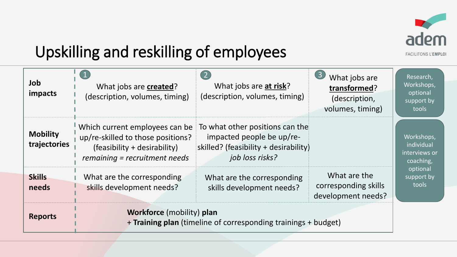

### Upskilling and reskilling of employees

| Job<br><i>impacts</i>           | What jobs are created?<br>(description, volumes, timing)                                                                             | (2)<br>What jobs are at risk?<br>(description, volumes, timing)                                                          | $\left(3\right)$<br>What jobs are<br>transformed?<br>(description,<br>volumes, timing) | Research,<br>Workshops,<br>optional<br>support by<br>tools |
|---------------------------------|--------------------------------------------------------------------------------------------------------------------------------------|--------------------------------------------------------------------------------------------------------------------------|----------------------------------------------------------------------------------------|------------------------------------------------------------|
| <b>Mobility</b><br>trajectories | Which current employees can be<br>up/re-skilled to those positions?<br>(feasibility + desirability)<br>remaining = recruitment needs | To what other positions can the<br>impacted people be up/re-<br>skilled? (feasibility + desirability)<br>job loss risks? |                                                                                        | Workshops,<br>individual<br>interviews or<br>coaching,     |
| <b>Skills</b><br>needs          | What are the corresponding<br>skills development needs?                                                                              | What are the corresponding<br>skills development needs?                                                                  | What are the<br>corresponding skills<br>development needs?                             | optional<br>support by<br>tools                            |
| <b>Reports</b>                  | <b>Workforce</b> (mobility) plan<br>+ Training plan (timeline of corresponding trainings + budget)                                   |                                                                                                                          |                                                                                        |                                                            |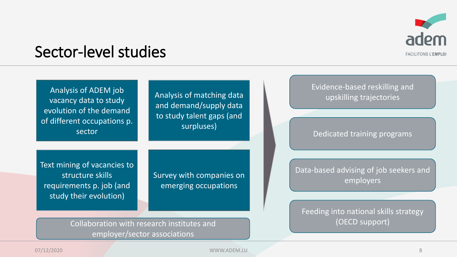

#### Sector-level studies

| Analysis of ADEM job<br>vacancy data to study<br>evolution of the demand<br>of different occupations p.<br>sector | Analysis of matching data<br>and demand/supply data<br>to study talent gaps (and<br>surpluses) | Evidence-based reskilling and<br>upskilling trajectories<br>Dedicated training programs      |
|-------------------------------------------------------------------------------------------------------------------|------------------------------------------------------------------------------------------------|----------------------------------------------------------------------------------------------|
| Text mining of vacancies to<br>structure skills<br>requirements p. job (and<br>study their evolution)             | Survey with companies on<br>emerging occupations                                               | Data-based advising of job seekers and<br>employers<br>Feeding into national skills strategy |
| Collaboration with research institutes and                                                                        |                                                                                                | (OECD support)                                                                               |

Collaboration with research institutes and employer/sector associations

07/12/2020 WWW.ADEM.LU 8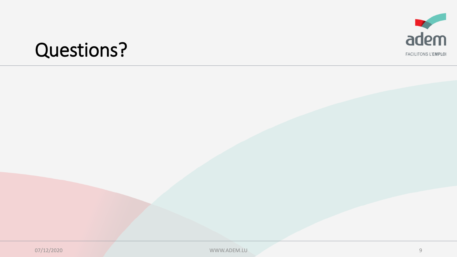

## **Questions?**